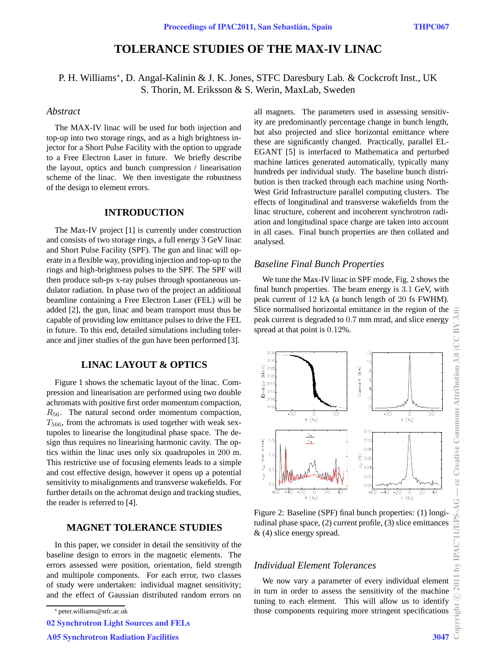# **TOLERANCE STUDIES OF THE MAX-IV LINAC**

## P. H. Williams<sup>∗</sup>, D. Angal-Kalinin & J. K. Jones, STFC Daresbury Lab. & Cockcroft Inst., UK S. Thorin, M. Eriksson & S. Werin, MaxLab, Sweden

### *Abstract*

The MAX-IV linac will be used for both injection and top-up into two storage rings, and as a high brightness injector for a Short Pulse Facility with the option to upgrade to a Free Electron Laser in future. We briefly describe the layout, optics and bunch compression / linearisation scheme of the linac. We then investigate the robustness of the design to element errors.

#### **INTRODUCTION**

The Max-IV project [1] is currently under construction and consists of two storage rings, a full energy 3 GeV linac and Short Pulse Facility (SPF). The gun and linac will operate in a flexible way, providing injection and top-up to the rings and high-brightness pulses to the SPF. The SPF will then produce sub-ps x-ray pulses through spontaneous undulator radiation. In phase two of the project an additional beamline containing a Free Electron Laser (FEL) will be added [2], the gun, linac and beam transport must thus be capable of providing low emittance pulses to drive the FEL in future. To this end, detailed simulations including tolerance and jitter studies of the gun have been performed [3].

## **LINAC LAYOUT & OPTICS**

Figure 1 shows the schematic layout of the linac. Compression and linearisation are performed using two double achromats with positive first order momentum compaction, *R*<sub>56</sub>. The natural second order momentum compaction, *T*566, from the achromats is used together with weak sextupoles to linearise the longitudinal phase space. The design thus requires no linearising harmonic cavity. The optics within the linac uses only six quadrupoles in 200 m. This restrictive use of focusing elements leads to a simple and cost effective design, however it opens up a potential sensitivity to misalignments and transverse wakefields. For further details on the achromat design and tracking studies, the reader is referred to [4].

## **MAGNET TOLERANCE STUDIES**

In this paper, we consider in detail the sensitivity of the baseline design to errors in the magnetic elements. The errors assessed were position, orientation, field strength and multipole components. For each error, two classes of study were undertaken: individual magnet sensitivity; and the effect of Gaussian distributed random errors on

02 Synchrotron Light Sources and FELs

A05 Synchrotron Radiation Facilities 3047

all magnets. The parameters used in assessing sensitivity are predominantly percentage change in bunch length, but also projected and slice horizontal emittance where these are significantly changed. Practically, parallel EL-EGANT [5] is interfaced to Mathematica and perturbed machine lattices generated automatically, typically many hundreds per individual study. The baseline bunch distribution is then tracked through each machine using North-West Grid Infrastructure parallel computing clusters. The effects of longitudinal and transverse wakefields from the linac structure, coherent and incoherent synchrotron radiation and longitudinal space charge are taken into account in all cases. Final bunch properties are then collated and analysed.

#### *Baseline Final Bunch Properties*

We tune the Max-IV linac in SPF mode, Fig. 2 shows the final bunch properties. The beam energy is 3*.*1 GeV, with peak current of 12 kA (a bunch length of 20 fs FWHM). Slice normalised horizontal emittance in the region of the peak current is degraded to 0*.*7 mm mrad, and slice energy spread at that point is 0*.*12%.



Figure 2: Baseline (SPF) final bunch properties: (1) longitudinal phase space, (2) current profile, (3) slice emittances & (4) slice energy spread.

## *Individual Element Tolerances*

We now vary a parameter of every individual element in turn in order to assess the sensitivity of the machine tuning to each element. This will allow us to identify those components requiring more stringent specifications

<sup>∗</sup> peter.williams@stfc.ac.uk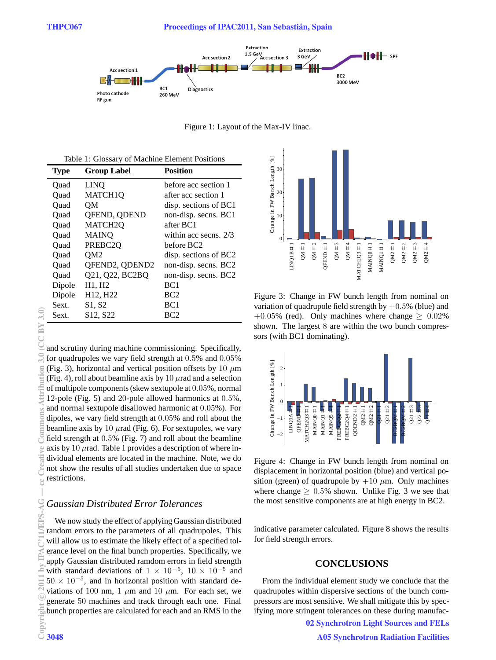

Figure 1: Layout of the Max-IV linac.

|  |  |  | Table 1: Glossary of Machine Element Positions |  |
|--|--|--|------------------------------------------------|--|
|--|--|--|------------------------------------------------|--|

| <b>Type</b> | <b>Group Label</b>                | <b>Position</b>         |
|-------------|-----------------------------------|-------------------------|
| Ouad        | <b>LINO</b>                       | before acc section 1    |
| Ouad        | <b>MATCH1O</b>                    | after acc section 1     |
| Ouad        | <b>OM</b>                         | disp. sections of BC1   |
| Ouad        | QFEND, QDEND                      | non-disp. secns. BC1    |
| Ouad        | MATCH <sub>2Q</sub>               | after BC1               |
| Ouad        | <b>MAINQ</b>                      | within acc secns. $2/3$ |
| Quad        | PREBC <sub>2</sub> Q              | before BC2              |
| Ouad        | OM <sub>2</sub>                   | disp. sections of BC2   |
| Ouad        | QFEND2, QDEND2                    | non-disp. secns. BC2    |
| Ouad        | Q21, Q22, BC2BQ                   | non-disp. secns. BC2    |
| Dipole      | H1, H2                            | BC <sub>1</sub>         |
| Dipole      | H <sub>12</sub> , H <sub>22</sub> | BC2                     |
| Sext.       | S1. S2                            | BC <sub>1</sub>         |
| Sext.       | S <sub>12</sub> , S <sub>22</sub> | BC2                     |

and scrutiny during machine commissioning. Specifically, for quadrupoles we vary field strength at 0*.*5% and 0*.*05% (Fig. 3), horizontal and vertical position offsets by 10 *µ*m (Fig. 4), roll about beamline axis by 10  $\mu$ rad and a selection of multipole components (skew sextupole at 0*.*05%, normal 12-pole (Fig. 5) and 20-pole allowed harmonics at 0*.*5%, and normal sextupole disallowed harmonic at 0*.*05%). For dipoles, we vary field strength at 0*.*05% and roll about the beamline axis by 10  $\mu$ rad (Fig. 6). For sextupoles, we vary field strength at 0*.*5% (Fig. 7) and roll about the beamline axis by 10  $\mu$ rad. Table 1 provides a description of where individual elements are located in the machine. Note, we do not show the results of all studies undertaken due to space restrictions. (0;6^)a/2010) of 12011 by Internative Commons Attribution 3.0 (C) and the Creative Commons Attribution 3.0 (CC BY 3.0) – and commons Attribution 3.0 (CC BY 3.0) – and creative Creative Commons Attribution 3.0 (CC BY 3.0)

#### *Gaussian Distributed Error Tolerances*

We now study the effect of applying Gaussian distributed random errors to the parameters of all quadrupoles. This will allow us to estimate the likely effect of a specified tolerance level on the final bunch properties. Specifically, we apply Gaussian distributed ramdom errors in field strength with standard deviations of  $1 \times 10^{-5}$ ,  $10 \times 10^{-5}$  and <sup>50</sup> <sup>×</sup> <sup>10</sup>*−*<sup>5</sup>, and in horizontal position with standard deviations of 100 nm, 1  $\mu$ m and 10  $\mu$ m. For each set, we generate 50 machines and track through each one. Final bunch properties are calculated for each and an RMS in the<br>Copyright 3048 c○

 $CC$ BY 3.0)

E

Ĕ



Figure 3: Change in FW bunch length from nominal on variation of quadrupole field strength by  $+0.5%$  (blue) and  $+0.05\%$  (red). Only machines where change  $> 0.02\%$ shown. The largest 8 are within the two bunch compressors (with BC1 dominating).



Figure 4: Change in FW bunch length from nominal on displacement in horizontal position (blue) and vertical position (green) of quadrupole by  $+10 \mu$ m. Only machines where change  $\geq 0.5\%$  shown. Unlike Fig. 3 we see that the most sensitive components are at high energy in BC2.

indicative parameter calculated. Figure 8 shows the results for field strength errors.

#### **CONCLUSIONS**

From the individual element study we conclude that the quadrupoles within dispersive sections of the bunch compressors are most sensitive. We shall mitigate this by specifying more stringent tolerances on these during manufac-

02 Synchrotron Light Sources and FELs